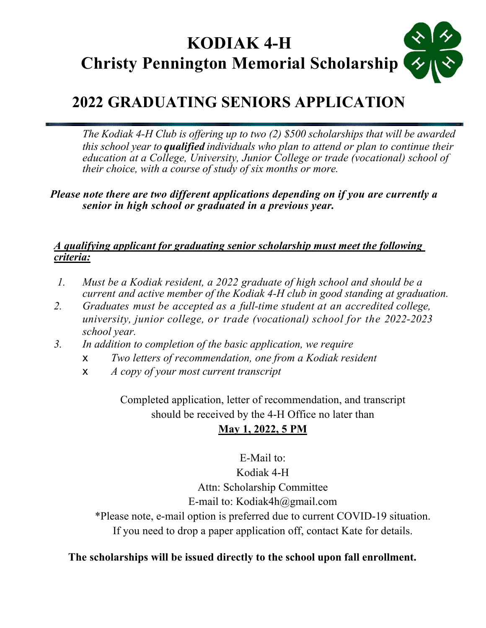# **KODIAK 4-H Christy Pennington Memorial Scholarship**

## **2022 GRADUATING SENIORS APPLICATION**

*The Kodiak 4-H Club is offering up to two (2) \$500 scholarships that will be awarded this school year to qualified individuals who plan to attend or plan to continue their education at a College, University, Junior College or trade (vocational) school of their choice, with a course of study of six months or more.* 

*Please note there are two different applications depending on if you are currently a senior in high school or graduated in a previous year.* 

#### *A qualifying applicant for graduating senior scholarship must meet the following criteria:*

- *1. Must be a Kodiak resident, a 2022 graduate of high school and should be a current and active member of the Kodiak 4-H club in good standing at graduation.*
- *2. Graduates must be accepted as a full-time student at an accredited college, university, junior college, or trade (vocational) school for the 2022-2023 school year.*
- *3. In addition to completion of the basic application, we require*
	- ! *Two letters of recommendation, one from a Kodiak resident*
	- ! *A copy of your most current transcript*

Completed application, letter of recommendation, and transcript should be received by the 4-H Office no later than

## **May 1, 2022, 5 PM**

E-Mail to: Kodiak 4-H Attn: Scholarship Committee E-mail to: Kodiak4h@gmail.com

\*Please note, e-mail option is preferred due to current COVID-19 situation. If you need to drop a paper application off, contact Kate for details.

### **The scholarships will be issued directly to the school upon fall enrollment.**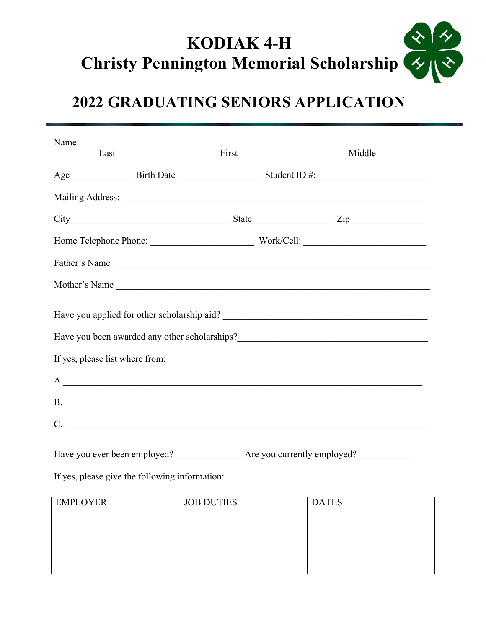## $\frac{1}{\sqrt{2}}$ **KODIAK 4-H Christy Pennington Memorial Scholarship**

# **2022 GRADUATING SENIORS APPLICATION**

| Name $\frac{1}{\sqrt{1-\frac{1}{2}}\sqrt{1-\frac{1}{2}}\sqrt{1-\frac{1}{2}}\sqrt{1-\frac{1}{2}}}}$<br>Last | First                            | Middle        |  |
|------------------------------------------------------------------------------------------------------------|----------------------------------|---------------|--|
|                                                                                                            |                                  |               |  |
|                                                                                                            |                                  |               |  |
|                                                                                                            |                                  |               |  |
| $City$ $Zip$ $Type$                                                                                        |                                  |               |  |
|                                                                                                            | Home Telephone Phone: Work/Cell: |               |  |
|                                                                                                            |                                  | Father's Name |  |
| Mother's Name                                                                                              |                                  |               |  |
|                                                                                                            |                                  |               |  |
|                                                                                                            |                                  |               |  |
| If yes, please list where from:                                                                            |                                  |               |  |
| A.                                                                                                         |                                  |               |  |
| <b>B</b> .                                                                                                 |                                  |               |  |
|                                                                                                            |                                  |               |  |
|                                                                                                            |                                  |               |  |

If yes, please give the following information:

| <b>EMPLOYER</b> | <b>JOB DUTIES</b> | <b>DATES</b> |
|-----------------|-------------------|--------------|
|                 |                   |              |
|                 |                   |              |
|                 |                   |              |
|                 |                   |              |
|                 |                   |              |
|                 |                   |              |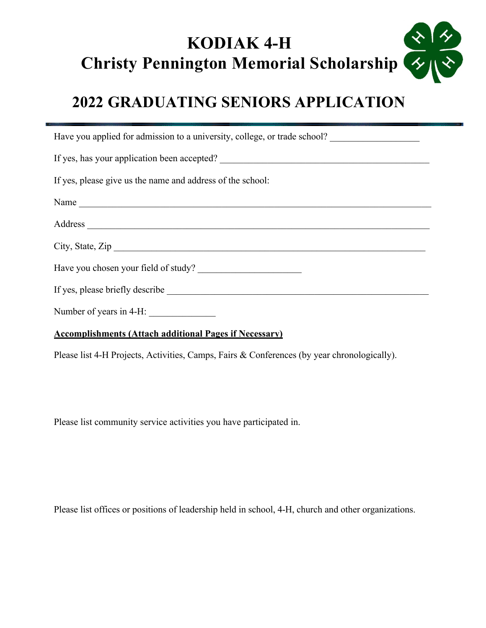## $\frac{1}{\sqrt{2}}$ **KODIAK 4-H Christy Pennington Memorial Scholarship**

## **2022 GRADUATING SENIORS APPLICATION**

| Have you applied for admission to a university, college, or trade school? |
|---------------------------------------------------------------------------|
| If yes, has your application been accepted?                               |
| If yes, please give us the name and address of the school:                |
| Name                                                                      |
|                                                                           |
| City, State, Zip                                                          |
| Have you chosen your field of study?                                      |
|                                                                           |
| Number of years in 4-H: $\frac{1}{2}$                                     |
|                                                                           |

#### **Accomplishments (Attach additional Pages if Necessary)**

Please list 4-H Projects, Activities, Camps, Fairs & Conferences (by year chronologically).

Please list community service activities you have participated in.

Please list offices or positions of leadership held in school, 4-H, church and other organizations.